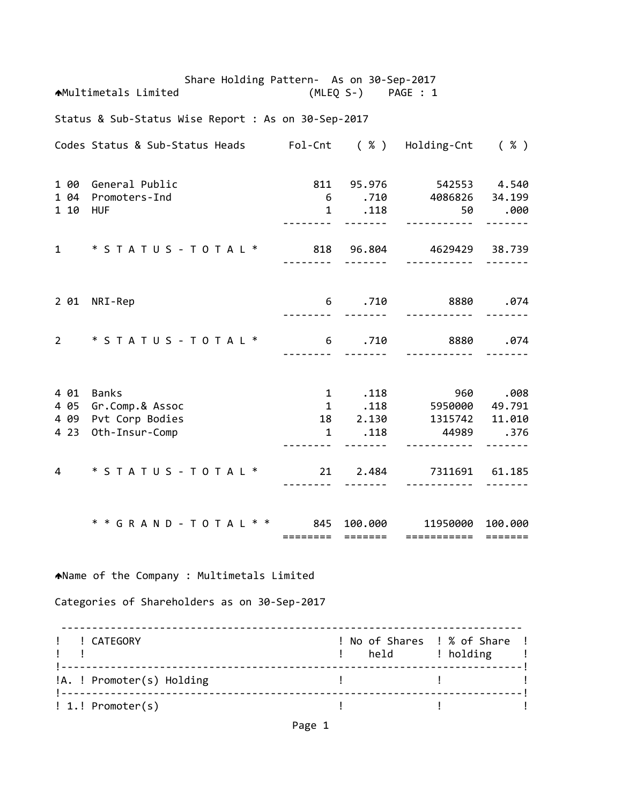Share Holding Pattern‐ As on 30‐Sep‐2017 Multimetals Limited (MLEQ S‐) PAGE : 1 Status & Sub‐Status Wise Report : As on 30‐Sep‐2017 Codes Status & Sub‐Status Heads Fol‐Cnt ( % ) Holding‐Cnt ( % ) 1 00 General Public 811 95.976 542553 4.540 1 04 Promoters‐Ind 6 .710 4086826 34.199 1 10 HUF 1 .118 50 .000 ‐‐‐‐‐‐‐‐ ‐‐‐‐‐‐‐ ‐‐‐‐‐‐‐‐‐‐‐ ‐‐‐‐‐‐‐ 1 \* S T A T U S ‐ T O T A L \* 818 96.804 4629429 38.739 ‐‐‐‐‐‐‐‐ ‐‐‐‐‐‐‐ ‐‐‐‐‐‐‐‐‐‐‐ ‐‐‐‐‐‐‐ 2 01 NRI‐Rep 6 .710 8880 .074 ‐‐‐‐‐‐‐‐ ‐‐‐‐‐‐‐ ‐‐‐‐‐‐‐‐‐‐‐ ‐‐‐‐‐‐‐ 2 \* S T A T U S ‐ T O T A L \* 6 .710 8880 .074 ‐‐‐‐‐‐‐‐ ‐‐‐‐‐‐‐ ‐‐‐‐‐‐‐‐‐‐‐ ‐‐‐‐‐‐‐ 4 01 Banks 1 .118 960 .008 4 05 Gr.Comp.& Assoc 1 .118 5950000 49.791 4 09 Pvt Corp Bodies 18 2.130 1315742 11.010 4 23 Oth‐Insur‐Comp 1 .118 44989 .376 ‐‐‐‐‐‐‐‐ ‐‐‐‐‐‐‐ ‐‐‐‐‐‐‐‐‐‐‐ ‐‐‐‐‐‐‐ 4 \* S T A T U S ‐ T O T A L \* 21 2.484 7311691 61.185 ‐‐‐‐‐‐‐‐ ‐‐‐‐‐‐‐ ‐‐‐‐‐‐‐‐‐‐‐ ‐‐‐‐‐‐‐ \* \* G R A N D ‐ T O T A L \* \* 845 100.000 11950000 100.000 ======== ======= =========== ======= Name of the Company : Multimetals Limited Categories of Shareholders as on 30‐Sep‐2017 ‐‐‐‐‐‐‐‐‐‐‐‐‐‐‐‐‐‐‐‐‐‐‐‐‐‐‐‐‐‐‐‐‐‐‐‐‐‐‐‐‐‐‐‐‐‐‐‐‐‐‐‐‐‐‐‐‐‐‐‐‐‐‐‐‐‐‐‐‐‐‐‐‐‐‐ ! ! CATEGORY ! No of Shares ! % of Share ! example to the set of the set of the set of the set of the set of the set of the set of the set of the set of t !‐‐‐‐‐‐‐‐‐‐‐‐‐‐‐‐‐‐‐‐‐‐‐‐‐‐‐‐‐‐‐‐‐‐‐‐‐‐‐‐‐‐‐‐‐‐‐‐‐‐‐‐‐‐‐‐‐‐‐‐‐‐‐‐‐‐‐‐‐‐‐‐‐‐‐! !A. ! Promoter(s) Holding ! ! !‐‐‐‐‐‐‐‐‐‐‐‐‐‐‐‐‐‐‐‐‐‐‐‐‐‐‐‐‐‐‐‐‐‐‐‐‐‐‐‐‐‐‐‐‐‐‐‐‐‐‐‐‐‐‐‐‐‐‐‐‐‐‐‐‐‐‐‐‐‐‐‐‐‐‐!

! 1.! Promoter(s) ! ! !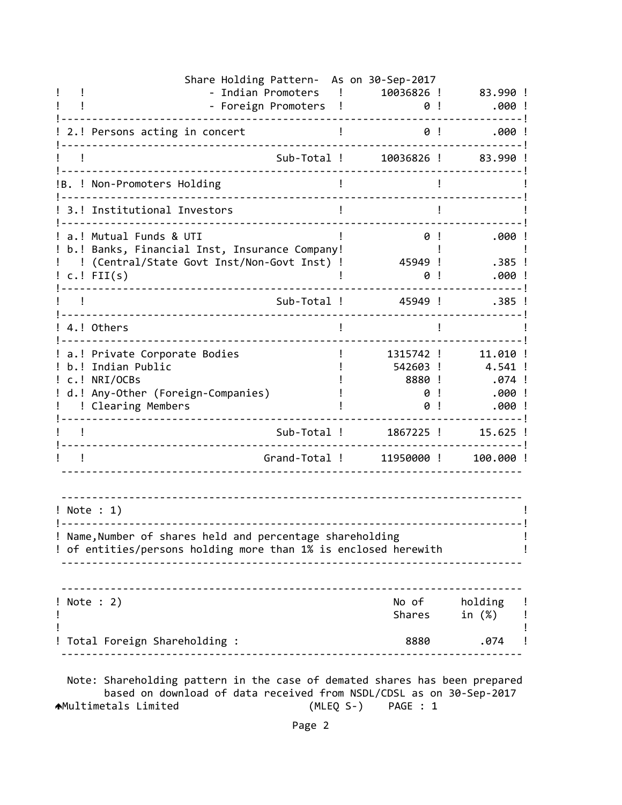| Share Holding Pattern- As on 30-Sep-2017<br>- Indian Promoters<br>$\mathbf{I}$                                                              | 10036826 !                                | 83.990 !                                        |
|---------------------------------------------------------------------------------------------------------------------------------------------|-------------------------------------------|-------------------------------------------------|
| - Foreign Promoters !                                                                                                                       | 0!                                        | .000!                                           |
| 2.! Persons acting in concert                                                                                                               | 0!                                        | $.000$ !                                        |
| Sub-Total !                                                                                                                                 | 10036826 !                                | 83.990!                                         |
| !B. ! Non-Promoters Holding                                                                                                                 |                                           |                                                 |
| 3.! Institutional Investors                                                                                                                 |                                           |                                                 |
| a.! Mutual Funds & UTI<br>b.! Banks, Financial Inst, Insurance Company!<br>(Central/State Govt Inst/Non-Govt Inst) !<br>$c.!$ FII(s)        | 0!<br>45949 !<br>0                        | .000!<br>$.385$ !<br>.000!                      |
| Sub-Total !                                                                                                                                 | 45949 !                                   | $.385$ !                                        |
| 4.! Others                                                                                                                                  |                                           |                                                 |
| a.! Private Corporate Bodies<br>b.! Indian Public<br>c.! NRI/OCBs<br>d.! Any-Other (Foreign-Companies)<br>! Clearing Members                | 1315742 !<br>542603 !<br>8880 !<br>0<br>0 | 11.010 !<br>4.541 !<br>.074 !<br>.000!<br>.000! |
| Sub-Total !                                                                                                                                 | 1867225 !                                 | 15.625 !                                        |
| Grand-Total !                                                                                                                               | 11950000!                                 | 100.000 !                                       |
| ! Note : 1)<br>! Name, Number of shares held and percentage shareholding<br>! of entities/persons holding more than 1% is enclosed herewith |                                           |                                                 |
|                                                                                                                                             |                                           |                                                 |
| ! Note : 2)                                                                                                                                 | Shares                                    | No of holding<br>in (%)                         |
| Total Foreign Shareholding :                                                                                                                |                                           | .074<br>8880                                    |

 based on download of data received from NSDL/CDSL as on 30‐Sep‐2017 Multimetals Limited (MLEQ S‐) PAGE : 1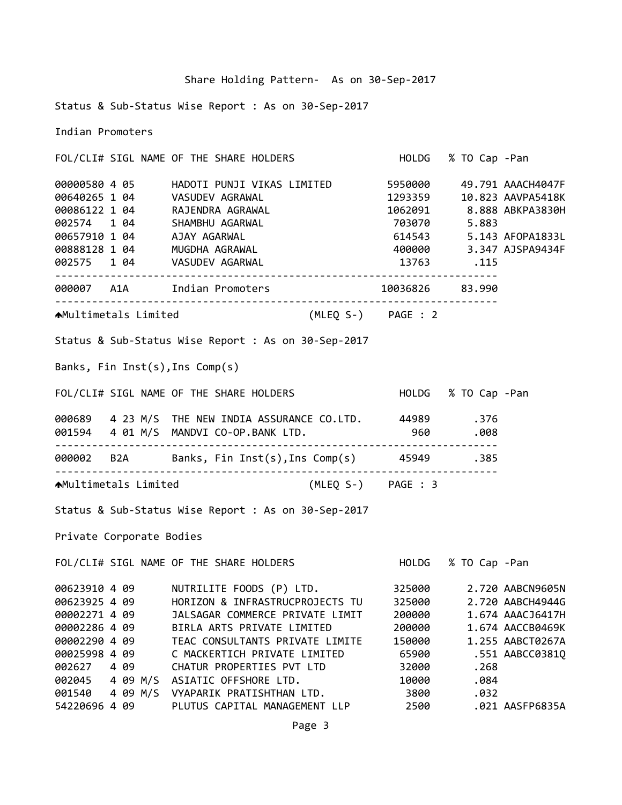|  |  | Share Holding Pattern- As on 30-Sep-2017 |
|--|--|------------------------------------------|
|  |  |                                          |

Status & Sub‐Status Wise Report : As on 30‐Sep‐2017

Indian Promoters

FOL/CLI# SIGL NAME OF THE SHARE HOLDERS HOLDG % TO Cap ‐Pan 00000580 4 05 HADOTI PUNJI VIKAS LIMITED 5950000 49.791 AAACH4047F 00640265 1 04 VASUDEV AGRAWAL 1293359 10.823 AAVPA5418K 00086122 1 04 RAJENDRA AGRAWAL 1062091 8.888 ABKPA3830H 002574 1 04 SHAMBHU AGARWAL 703070 5.883 00657910 1 04 AJAY AGARWAL 614543 5.143 AFOPA1833L 00888128 1 04 MUGDHA AGRAWAL 400000 3.347 AJSPA9434F 002575 1 04 VASUDEV AGARWAL 13763 .115 ‐‐‐‐‐‐‐‐‐‐‐‐‐‐‐‐‐‐‐‐‐‐‐‐‐‐‐‐‐‐‐‐‐‐‐‐‐‐‐‐‐‐‐‐‐‐‐‐‐‐‐‐‐‐‐‐‐‐‐‐‐‐‐‐‐‐‐‐‐‐‐‐ 000007 A1A Indian Promoters 10036826 83.990 ‐‐‐‐‐‐‐‐‐‐‐‐‐‐‐‐‐‐‐‐‐‐‐‐‐‐‐‐‐‐‐‐‐‐‐‐‐‐‐‐‐‐‐‐‐‐‐‐‐‐‐‐‐‐‐‐‐‐‐‐‐‐‐‐‐‐‐‐‐‐‐‐ Multimetals Limited (MLEQ S‐) PAGE : 2 Status & Sub‐Status Wise Report : As on 30‐Sep‐2017 Banks, Fin Inst(s),Ins Comp(s) FOL/CLI# SIGL NAME OF THE SHARE HOLDERS HOLDG % TO Cap ‐Pan 000689 4 23 M/S THE NEW INDIA ASSURANCE CO.LTD. 44989 .376 001594 4 01 M/S MANDVI CO‐OP.BANK LTD. 960 .008 ‐‐‐‐‐‐‐‐‐‐‐‐‐‐‐‐‐‐‐‐‐‐‐‐‐‐‐‐‐‐‐‐‐‐‐‐‐‐‐‐‐‐‐‐‐‐‐‐‐‐‐‐‐‐‐‐‐‐‐‐‐‐‐‐‐‐‐‐‐‐‐‐ 000002 B2A Banks, Fin Inst(s),Ins Comp(s) 45949 .385 ‐‐‐‐‐‐‐‐‐‐‐‐‐‐‐‐‐‐‐‐‐‐‐‐‐‐‐‐‐‐‐‐‐‐‐‐‐‐‐‐‐‐‐‐‐‐‐‐‐‐‐‐‐‐‐‐‐‐‐‐‐‐‐‐‐‐‐‐‐‐‐‐ Multimetals Limited (MLEQ S‐) PAGE : 3 Status & Sub‐Status Wise Report : As on 30‐Sep‐2017 Private Corporate Bodies FOL/CLI# SIGL NAME OF THE SHARE HOLDERS HOLDG % TO Cap ‐Pan 00623910 4 09 NUTRILITE FOODS (P) LTD. 325000 2.720 AABCN9605N 00623925 4 09 HORIZON & INFRASTRUCPROJECTS TU 325000 2.720 AABCH4944G 00002271 4 09 JALSAGAR COMMERCE PRIVATE LIMIT 200000 1.674 AAACJ6417H 00002286 4 09 BIRLA ARTS PRIVATE LIMITED 200000 1.674 AACCB0469K 00002290 4 09 TEAC CONSULTANTS PRIVATE LIMITE 150000 1.255 AABCT0267A 00025998 4 09 C MACKERTICH PRIVATE LIMITED 65900 .551 AABCC0381Q 002627 4 09 CHATUR PROPERTIES PVT LTD 32000 .268 002045 4 09 M/S ASIATIC OFFSHORE LTD. 10000 .084

001540 4 09 M/S VYAPARIK PRATISHTHAN LTD. 3800 .032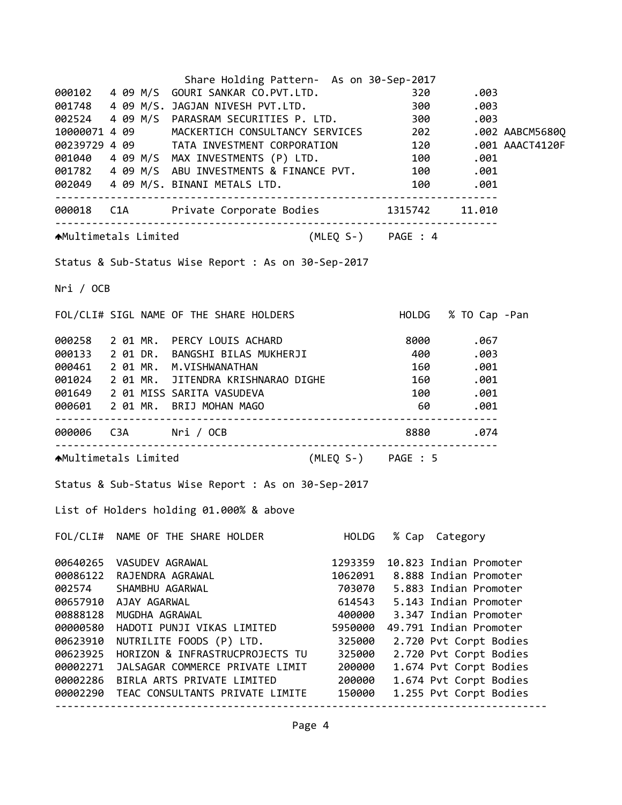|           |                          | Share Holding Pattern- As on 30-Sep-2017                                                                                                                                                                                                |         |                                |  |
|-----------|--------------------------|-----------------------------------------------------------------------------------------------------------------------------------------------------------------------------------------------------------------------------------------|---------|--------------------------------|--|
|           |                          | 000102  4  09  M/S  GOURI  SANKAR  CO.PVT.LTD.  320                                                                                                                                                                                     |         | .003                           |  |
|           |                          | 001748 4 09 M/S. JAGJAN NIVESH PVT.LTD.                                                                                                                                                                                                 |         | 300.003                        |  |
|           |                          |                                                                                                                                                                                                                                         |         |                                |  |
|           |                          | 002524  4  09  M/S  PARASRAM SECURITIES P. LTD.  300  .003<br>10000071  4  09  MACKERTICH CONSULTANCY SERVICES  202  .002 AABCM5680Q                                                                                                    |         |                                |  |
|           |                          |                                                                                                                                                                                                                                         |         |                                |  |
|           |                          | 00239729 4 09 TATA INVESTMENT CORPORATION 120 .001 AAACT4120F<br>001040 4 09 M/S MAX INVESTMENTS (P) LTD. 100 .001<br>001782 4 09 M/S ABU INVESTMENTS & FINANCE PVT. 100 .001<br>001782 4 09 M/S ABU INVESTMENTS & FINANCE PVT. 100 .00 |         |                                |  |
|           |                          |                                                                                                                                                                                                                                         |         |                                |  |
|           |                          |                                                                                                                                                                                                                                         |         |                                |  |
|           |                          |                                                                                                                                                                                                                                         |         |                                |  |
|           |                          | AMultimetals Limited (MLEQ S-) PAGE : 4                                                                                                                                                                                                 |         |                                |  |
|           |                          | Status & Sub-Status Wise Report : As on 30-Sep-2017                                                                                                                                                                                     |         |                                |  |
| Nri / OCB |                          |                                                                                                                                                                                                                                         |         |                                |  |
|           |                          | FOL/CLI# SIGL NAME OF THE SHARE HOLDERS HOLD HOLDG % TO Cap -Pan                                                                                                                                                                        |         |                                |  |
|           |                          |                                                                                                                                                                                                                                         |         |                                |  |
|           |                          | 000258 2 01 MR. PERCY LOUIS ACHARD 8000 .067<br>000133 2 01 DR. BANGSHI BILAS MUKHERJI 400 .003<br>000461 2 01 MR. M.VISHWANATHAN 160 .001                                                                                              |         |                                |  |
|           |                          |                                                                                                                                                                                                                                         |         |                                |  |
|           |                          | 001024 2 01 MR. JITENDRA KRISHNARAO DIGHE 160 .001                                                                                                                                                                                      |         |                                |  |
|           |                          | 001649 2 01 MISS SARITA VASUDEVA                                                                                                                                                                                                        |         |                                |  |
|           |                          | 000601 2 01 MR. BRIJ MOHAN MAGO                                                                                                                                                                                                         |         | $100$ .<br>$-100$ .<br>$-001$  |  |
|           |                          |                                                                                                                                                                                                                                         |         |                                |  |
|           |                          | 000006    C3A    Nri / OCB                                                                                                                                                                                                              |         | 8880.074                       |  |
|           |                          | AMultimetals Limited (MLEQ S-) PAGE : 5                                                                                                                                                                                                 |         |                                |  |
|           |                          | Status & Sub-Status Wise Report : As on 30-Sep-2017                                                                                                                                                                                     |         |                                |  |
|           |                          | List of Holders holding 01.000% & above                                                                                                                                                                                                 |         |                                |  |
|           |                          | FOL/CLI# NAME OF THE SHARE HOLDER                                                                                                                                                                                                       | HOLDG   | % Cap Category                 |  |
|           | 00640265 VASUDEV AGRAWAL |                                                                                                                                                                                                                                         | 1293359 | 10.823 Indian Promoter         |  |
| 00086122  | RAJENDRA AGRAWAL         |                                                                                                                                                                                                                                         |         | 1062091 8.888 Indian Promoter  |  |
| 002574    | SHAMBHU AGARWAL          |                                                                                                                                                                                                                                         |         | 703070 5.883 Indian Promoter   |  |
|           | 00657910 AJAY AGARWAL    |                                                                                                                                                                                                                                         |         | 614543 5.143 Indian Promoter   |  |
| 00888128  | MUGDHA AGRAWAL           |                                                                                                                                                                                                                                         |         | 400000 3.347 Indian Promoter   |  |
| 00000580  |                          | HADOTI PUNJI VIKAS LIMITED                                                                                                                                                                                                              |         | 5950000 49.791 Indian Promoter |  |
| 00623910  |                          | NUTRILITE FOODS (P) LTD.                                                                                                                                                                                                                | 325000  | 2.720 Pvt Corpt Bodies         |  |
| 00623925  |                          | HORIZON & INFRASTRUCPROJECTS TU                                                                                                                                                                                                         | 325000  | 2.720 Pvt Corpt Bodies         |  |
| 00002271  |                          | JALSAGAR COMMERCE PRIVATE LIMIT                                                                                                                                                                                                         | 200000  | 1.674 Pvt Corpt Bodies         |  |
|           |                          | 00002286 BIRLA ARTS PRIVATE LIMITED                                                                                                                                                                                                     | 200000  | 1.674 Pvt Corpt Bodies         |  |
|           |                          | 00002290 TEAC CONSULTANTS PRIVATE LIMITE                                                                                                                                                                                                | 150000  | 1.255 Pvt Corpt Bodies         |  |
|           |                          |                                                                                                                                                                                                                                         |         |                                |  |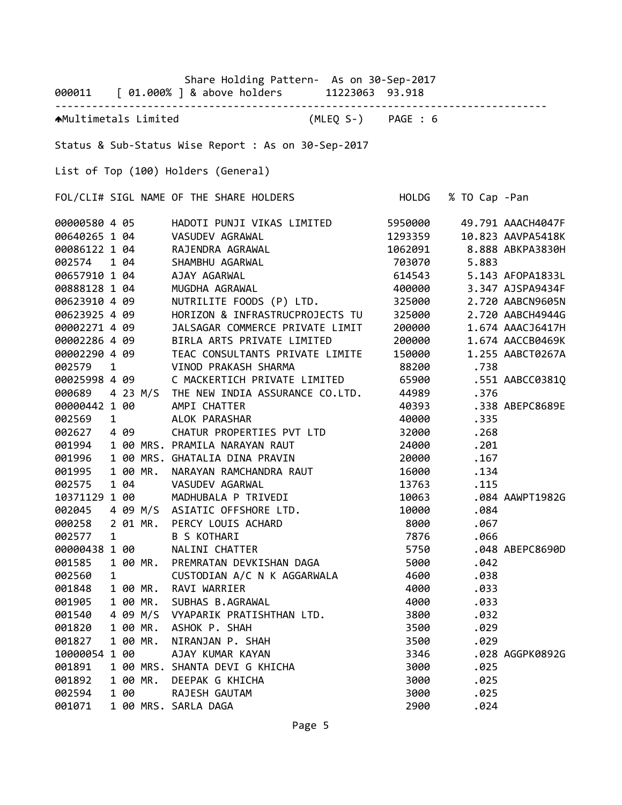|               |              |                        |          | Share Holding Pattern- As on 30-Sep-2017<br>000011 [ 01.000% ] & above holders 11223063 93.918 |                    |                     |       |                          |
|---------------|--------------|------------------------|----------|------------------------------------------------------------------------------------------------|--------------------|---------------------|-------|--------------------------|
|               |              |                        |          | AMultimetals Limited                                                                           | (MLEQ S-) PAGE : 6 |                     |       |                          |
|               |              |                        |          | Status & Sub-Status Wise Report : As on 30-Sep-2017                                            |                    |                     |       |                          |
|               |              |                        |          | List of Top (100) Holders (General)                                                            |                    |                     |       |                          |
|               |              |                        |          | FOL/CLI# SIGL NAME OF THE SHARE HOLDERS                                                        |                    | HOLDG % TO Cap -Pan |       |                          |
| 00000580 4 05 |              |                        |          | HADOTI PUNJI VIKAS LIMITED 5950000                                                             |                    |                     |       | 49.791 AAACH4047F        |
| 00640265 1 04 |              |                        |          | VASUDEV AGRAWAL                                                                                |                    | 1293359             |       | 10.823 AAVPA5418K        |
| 00086122 1 04 |              |                        |          | RAJENDRA AGRAWAL                                                                               |                    |                     |       | 1062091 8.888 ABKPA3830H |
| 002574 1 04   |              |                        |          | SHAMBHU AGARWAL                                                                                |                    | 703070              | 5.883 |                          |
| 00657910 1 04 |              |                        |          | AJAY AGARWAL                                                                                   |                    | 614543              |       | 5.143 AFOPA1833L         |
| 00888128 1 04 |              |                        |          | MUGDHA AGRAWAL                                                                                 |                    | 400000              |       | 3.347 AJSPA9434F         |
| 00623910 4 09 |              |                        |          | NUTRILITE FOODS (P) LTD.                                                                       |                    | 325000              |       | 2.720 AABCN9605N         |
| 00623925 4 09 |              |                        |          | HORIZON & INFRASTRUCPROJECTS TU                                                                |                    | 325000              |       | 2.720 AABCH4944G         |
| 00002271 4 09 |              |                        |          | JALSAGAR COMMERCE PRIVATE LIMIT                                                                |                    | 200000              |       | 1.674 AAACJ6417H         |
| 00002286 4 09 |              |                        |          | BIRLA ARTS PRIVATE LIMITED                                                                     |                    | 200000              |       | 1.674 AACCB0469K         |
| 00002290 4 09 |              |                        |          | TEAC CONSULTANTS PRIVATE LIMITE                                                                |                    | 150000              |       | 1.255 AABCT0267A         |
| 002579        | $\mathbf{1}$ |                        |          | VINOD PRAKASH SHARMA                                                                           |                    | 88200               | .738  |                          |
| 00025998 4 09 |              |                        |          | C MACKERTICH PRIVATE LIMITED                                                                   |                    | 65900               |       | .551 AABCC0381Q          |
|               |              |                        |          | 000689 4 23 M/S THE NEW INDIA ASSURANCE CO.LTD.                                                |                    | 44989               | .376  |                          |
| 00000442 1 00 |              |                        |          | AMPI CHATTER                                                                                   |                    | 40393               |       | .338 ABEPC8689E          |
| 002569        |              | $1 \quad \blacksquare$ |          | ALOK PARASHAR                                                                                  |                    | 40000               | .335  |                          |
| 002627        |              | 4 09                   |          | CHATUR PROPERTIES PVT LTD                                                                      |                    | 32000               | .268  |                          |
| 001994        |              |                        |          | 1 00 MRS. PRAMILA NARAYAN RAUT                                                                 |                    | 24000               | .201  |                          |
| 001996        |              |                        |          | 1 00 MRS. GHATALIA DINA PRAVIN                                                                 |                    | 20000               | .167  |                          |
| 001995        |              |                        |          | 1 00 MR. NARAYAN RAMCHANDRA RAUT                                                               |                    | 16000               | .134  |                          |
| 002575        |              | 1 04                   |          | VASUDEV AGARWAL                                                                                |                    | 13763               | .115  |                          |
| 10371129 1 00 |              |                        |          | MADHUBALA P TRIVEDI                                                                            |                    | 10063               |       | .084 AAWPT1982G          |
| 002045        |              |                        |          | 4 09 M/S ASIATIC OFFSHORE LTD.                                                                 |                    | 10000               | .084  |                          |
| 000258        |              |                        | 2 01 MR. | PERCY LOUIS ACHARD                                                                             |                    | 8000                | .067  |                          |
| 002577        | 1            |                        |          | B S KOTHARI                                                                                    |                    | 7876                | .066  |                          |
| 00000438 1 00 |              |                        |          | NALINI CHATTER                                                                                 |                    | 5750                |       | .048 ABEPC8690D          |
| 001585        |              |                        | 1 00 MR. | PREMRATAN DEVKISHAN DAGA                                                                       |                    | 5000                | .042  |                          |
| 002560        | 1            |                        |          | CUSTODIAN A/C N K AGGARWALA                                                                    |                    | 4600                | .038  |                          |
| 001848        |              |                        | 1 00 MR. | RAVI WARRIER                                                                                   |                    | 4000                | .033  |                          |
| 001905        |              |                        | 1 00 MR. | SUBHAS B.AGRAWAL                                                                               |                    | 4000                | .033  |                          |
| 001540        |              |                        | 4 09 M/S | VYAPARIK PRATISHTHAN LTD.                                                                      |                    | 3800                | .032  |                          |
| 001820        |              |                        | 1 00 MR. | ASHOK P. SHAH                                                                                  |                    | 3500                | .029  |                          |
| 001827        |              |                        | 1 00 MR. | NIRANJAN P. SHAH                                                                               |                    | 3500                | .029  |                          |
| 10000054 1 00 |              |                        |          | AJAY KUMAR KAYAN                                                                               |                    | 3346                |       | .028 AGGPK0892G          |
| 001891        |              |                        |          | 1 00 MRS. SHANTA DEVI G KHICHA                                                                 |                    | 3000                | .025  |                          |
| 001892        |              |                        | 1 00 MR. | DEEPAK G KHICHA                                                                                |                    | 3000                | .025  |                          |
| 002594        |              | 1 00                   |          | RAJESH GAUTAM                                                                                  |                    | 3000                | .025  |                          |
| 001071        |              |                        |          | 1 00 MRS. SARLA DAGA                                                                           |                    | 2900                | .024  |                          |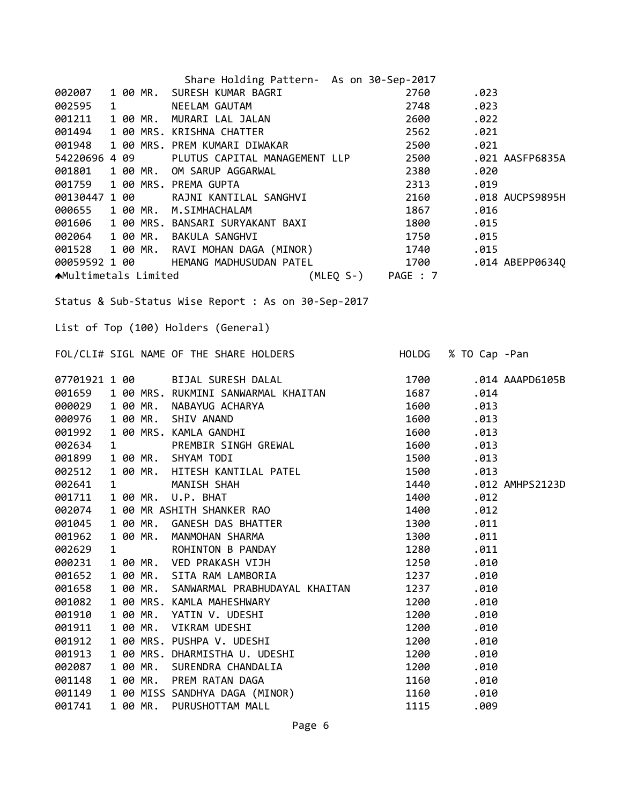|                             |              |          | Share Holding Pattern- As on 30-Sep-2017                                                                                                                                      |                    |                     |                 |
|-----------------------------|--------------|----------|-------------------------------------------------------------------------------------------------------------------------------------------------------------------------------|--------------------|---------------------|-----------------|
| 002007                      |              |          |                                                                                                                                                                               | 2760               | .023                |                 |
| 002595                      |              |          |                                                                                                                                                                               | 2748               | .023                |                 |
| 001211                      |              |          | SHATE HUILLING AT 1<br>1 00 MR. SURESH KUMAR BAGRI<br>1 00 MR. MURARI LAL JALAN<br>1 00 MR. MURARI LAL JALAN                                                                  | 2600               | .022                |                 |
| 001494                      |              |          |                                                                                                                                                                               | 2562               | .021                |                 |
| 001948                      |              |          | 1 00 PMS. RN15HMA CHATTEN<br>1 00 MRS. PREM KUMARI DIWAKAR                                                                                                                    | 2500               | .021                |                 |
| 54220696 4 09               |              |          | PLUTUS CAPITAL MANAGEMENT LLP                                                                                                                                                 | 2500               |                     | .021 AASFP6835A |
| 001801                      |              |          | 1 00 MR. OM SARUP AGGARWAL                                                                                                                                                    | 2380               | .020                |                 |
| 001759                      |              |          | 1 00 MRS. PREMA GUPTA                                                                                                                                                         | 2313               | .019                |                 |
| 00130447 1 00               |              |          | RAJNI KANTILAL SANGHVI                                                                                                                                                        | 2160               |                     | .018 AUCPS9895H |
| 000655                      |              |          | 1 00 MR. M.SIMHACHALAM                                                                                                                                                        | 1867               | .016                |                 |
|                             |              |          | 001606 1 00 MRS. BANSARI SURYAKANT BAXI                                                                                                                                       | 1800               | .015                |                 |
|                             |              |          | 002064 1 00 MR. BAKULA SANGHVI                                                                                                                                                | 1750               | .015                |                 |
|                             |              |          | 001528 1 00 MR. RAVI MOHAN DAGA (MINOR) 1740                                                                                                                                  |                    | .015                |                 |
|                             |              |          | 00059592 1 00 HEMANG MADHUSUDAN PATEL                                                                                                                                         | 1700               |                     | .014 ABEPP0634Q |
| <b>★Multimetals Limited</b> |              |          |                                                                                                                                                                               | (MLEQ S-) PAGE : 7 |                     |                 |
|                             |              |          |                                                                                                                                                                               |                    |                     |                 |
|                             |              |          | Status & Sub-Status Wise Report : As on 30-Sep-2017                                                                                                                           |                    |                     |                 |
|                             |              |          |                                                                                                                                                                               |                    |                     |                 |
|                             |              |          | List of Top (100) Holders (General)                                                                                                                                           |                    |                     |                 |
|                             |              |          |                                                                                                                                                                               |                    |                     |                 |
|                             |              |          | FOL/CLI# SIGL NAME OF THE SHARE HOLDERS                                                                                                                                       |                    | HOLDG % TO Cap -Pan |                 |
|                             |              |          |                                                                                                                                                                               |                    |                     |                 |
|                             |              |          | 07701921 1 00 BIJAL SURESH DALAL                                                                                                                                              | 1700               |                     | .014 AAAPD6105B |
|                             |              |          |                                                                                                                                                                               | 1687               | .014                |                 |
|                             |              |          |                                                                                                                                                                               | 1600               | .013                |                 |
|                             |              |          |                                                                                                                                                                               | 1600               | .013                |                 |
|                             |              |          | 001659 1 00 MRS. RUKMINI SANWARMAL KHAITAN<br>000029 1 00 MR. NABAYUG ACHARYA<br>000976 1 00 MR. SHIV ANAND<br>001992 1 00 MRS. KAMLA GANDHI<br>002634 1 PREMBIR SINGH GREWAL | 1600               | .013                |                 |
|                             |              |          |                                                                                                                                                                               | 1600               | .013                |                 |
| 001899                      |              |          | 1 00 MR. SHYAM TODI                                                                                                                                                           | 1500               | .013                |                 |
| 002512                      |              |          | 1 00 MR. HITESH KANTILAL PATEL                                                                                                                                                | 1500               | .013                |                 |
| 002641                      | $\mathbf{1}$ |          | MANISH SHAH                                                                                                                                                                   | 1440               |                     | .012 AMHPS2123D |
| 001711                      |              |          | 1 00 MR. U.P. BHAT                                                                                                                                                            | 1400               | .012                |                 |
| 002074                      |              |          | 1 00 MR ASHITH SHANKER RAO                                                                                                                                                    | 1400               | .012                |                 |
| 001045                      |              | 1 00 MR. | GANESH DAS BHATTER                                                                                                                                                            | 1300               | .011                |                 |
| 001962                      |              | 1 00 MR. | MANMOHAN SHARMA                                                                                                                                                               | 1300               | .011                |                 |
| 002629                      | 1            |          | ROHINTON B PANDAY                                                                                                                                                             | 1280               | .011                |                 |
| 000231                      |              | 1 00 MR. | VED PRAKASH VIJH                                                                                                                                                              | 1250               | .010                |                 |
| 001652                      |              | 1 00 MR. | SITA RAM LAMBORIA                                                                                                                                                             | 1237               | .010                |                 |
| 001658                      |              | 1 00 MR. | SANWARMAL PRABHUDAYAL KHAITAN                                                                                                                                                 | 1237               | .010                |                 |
| 001082                      |              |          | 1 00 MRS. KAMLA MAHESHWARY                                                                                                                                                    | 1200               | .010                |                 |
| 001910                      |              | 1 00 MR. | YATIN V. UDESHI                                                                                                                                                               | 1200               | .010                |                 |
| 001911                      |              | 1 00 MR. | VIKRAM UDESHI                                                                                                                                                                 | 1200               | .010                |                 |
| 001912                      |              |          | 1 00 MRS. PUSHPA V. UDESHI                                                                                                                                                    | 1200               | .010                |                 |
| 001913                      |              |          | 1 00 MRS. DHARMISTHA U. UDESHI                                                                                                                                                | 1200               | .010                |                 |
| 002087                      |              | 1 00 MR. | SURENDRA CHANDALIA                                                                                                                                                            | 1200               | .010                |                 |
| 001148                      |              | 1 00 MR. | PREM RATAN DAGA                                                                                                                                                               | 1160               | .010                |                 |
| 001149                      |              |          | 1 00 MISS SANDHYA DAGA (MINOR)                                                                                                                                                | 1160               | .010                |                 |
| 001741                      |              | 1 00 MR. | PURUSHOTTAM MALL                                                                                                                                                              | 1115               | .009                |                 |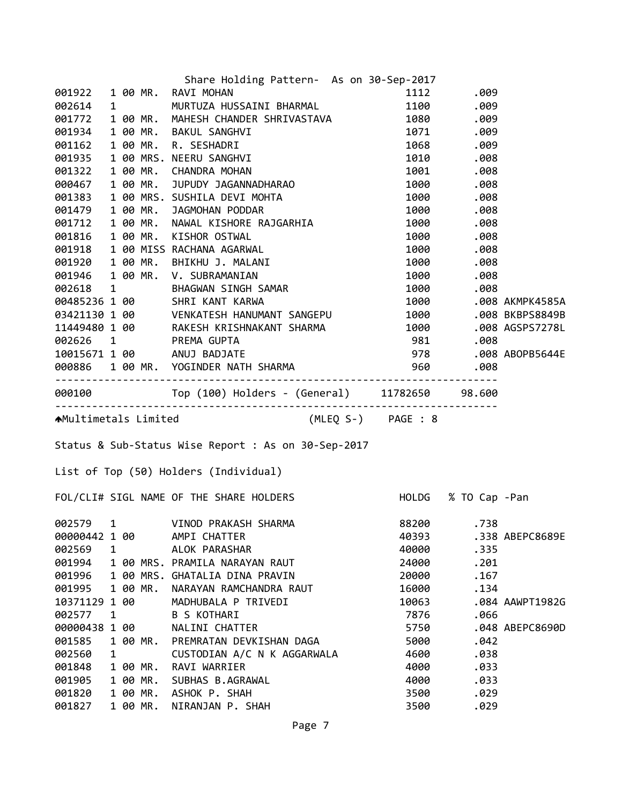|                  |   |                      | Share Holding Pattern- As on 30-Sep-2017                                                                                                                                                                                                |              |                     |                 |
|------------------|---|----------------------|-----------------------------------------------------------------------------------------------------------------------------------------------------------------------------------------------------------------------------------------|--------------|---------------------|-----------------|
|                  |   |                      | 001922 1 00 MR. RAVI MOHAN                                                                                                                                                                                                              |              | 1112 .009           |                 |
| 002614           |   | $1 \quad \cdots$     | MURTUZA HUSSAINI BHARMAL 1100 1112 1999                                                                                                                                                                                                 |              |                     |                 |
| 001772           |   |                      | 1 00 MR. MAHESH CHANDER SHRIVASTAVA 1080 .009                                                                                                                                                                                           |              |                     |                 |
| 001934           |   |                      | 1 00 MR. BAKUL SANGHVI                                                                                                                                                                                                                  | 1071 .009    |                     |                 |
| 001162           |   |                      |                                                                                                                                                                                                                                         |              | 1068.009            |                 |
| 001935           |   |                      |                                                                                                                                                                                                                                         |              | 1010.008            |                 |
| 001322           |   |                      | 1 00 MR. BAKUL SANGHVI 1071<br>1 00 MR. R. SESHADRI 1068<br>1 00 MRS. NEERU SANGHVI 1010<br>1 00 MR. CHANDRA MOHAN 1001<br>1 00 MR. JUPUDY JAGANNADHARAO 1000<br>1000                                                                   |              | 1001 .008           |                 |
| 000467           |   |                      |                                                                                                                                                                                                                                         |              | .008                |                 |
| 001383           |   |                      |                                                                                                                                                                                                                                         |              | 1000.008            |                 |
| 001479           |   |                      | 1 00 MRS. SUSHILA DEVI MOHTA<br>1 00 MR.  JAGMOHAN PODDAR                                                                                                                                                                               |              | 1000.008            |                 |
|                  |   |                      |                                                                                                                                                                                                                                         |              |                     |                 |
|                  |   |                      | 0014/9 1 00 MR. JAGMOHAN PODDAR<br>001712 1 00 MR. NAWAL KISHORE RAJGARHIA 1000 .008<br>001816 1 00 MR. KISHOR OSTWAL<br>001918 1 00 MR. BHIKHU J. MALANI 1000 .008<br>001920 1 00 MR. BHIKHU J. MALANI 1000 .008<br>001946 1 00 MR. V. |              |                     |                 |
|                  |   |                      |                                                                                                                                                                                                                                         |              |                     |                 |
|                  |   |                      |                                                                                                                                                                                                                                         |              |                     |                 |
|                  |   |                      |                                                                                                                                                                                                                                         |              |                     |                 |
|                  |   |                      |                                                                                                                                                                                                                                         |              |                     |                 |
|                  |   |                      |                                                                                                                                                                                                                                         |              |                     |                 |
|                  |   |                      |                                                                                                                                                                                                                                         |              |                     |                 |
|                  |   |                      | 11449480 1 00 RAKESH KRISHNAKANT SANGLID 1000 .000 DREI 300455<br>11449480 1 00 RAKESH KRISHNAKANT SHARMA 1000 .008 AGSPS7278L<br>10015671 1 00 ANUJ BADJATE 978 .008 ABOPB5644E                                                        |              |                     |                 |
|                  |   |                      |                                                                                                                                                                                                                                         |              |                     |                 |
|                  |   |                      |                                                                                                                                                                                                                                         |              |                     |                 |
|                  |   |                      | 002626 1 PREMA GUPTA 10015671 1 00 ANUJ BADJATE 1008886 1 00 ANUJ BADJATE 1008886 1 00 ANUS SACTO 2018 100888<br>10015671 1 00 ANUJ BADJATE 100 978 .008 ABOPB5644E<br>1008886 1 00 MR. YOGINDER NATH SHARMA 960 .008                   |              |                     |                 |
|                  |   |                      |                                                                                                                                                                                                                                         |              |                     |                 |
|                  |   |                      |                                                                                                                                                                                                                                         |              |                     |                 |
|                  |   |                      |                                                                                                                                                                                                                                         |              |                     |                 |
|                  |   |                      |                                                                                                                                                                                                                                         |              |                     |                 |
|                  |   |                      | AMultimetals Limited (MLEQ S-) PAGE : 8                                                                                                                                                                                                 |              |                     |                 |
|                  |   |                      | Status & Sub-Status Wise Report : As on 30-Sep-2017                                                                                                                                                                                     |              |                     |                 |
|                  |   |                      |                                                                                                                                                                                                                                         |              |                     |                 |
|                  |   |                      | List of Top (50) Holders (Individual)                                                                                                                                                                                                   |              |                     |                 |
|                  |   |                      | FOL/CLI# SIGL NAME OF THE SHARE HOLDERS                                                                                                                                                                                                 |              | HOLDG % TO Cap -Pan |                 |
|                  |   |                      |                                                                                                                                                                                                                                         |              |                     |                 |
|                  |   |                      | 002579 1 VINOD PRAKASH SHARMA                                                                                                                                                                                                           | 88200        | .738                |                 |
| 00000442 1 00    |   |                      | AMPI CHATTER                                                                                                                                                                                                                            | 40393        |                     | .338 ABEPC8689E |
| 002569           | 1 |                      | ALOK PARASHAR                                                                                                                                                                                                                           | 40000        | .335                |                 |
| 001994           |   |                      | 1 00 MRS. PRAMILA NARAYAN RAUT                                                                                                                                                                                                          | 24000        | .201                |                 |
| 001996           |   |                      | 1 00 MRS. GHATALIA DINA PRAVIN                                                                                                                                                                                                          | 20000        | .167                |                 |
| 001995           |   | 1 00 MR.             | NARAYAN RAMCHANDRA RAUT                                                                                                                                                                                                                 | 16000        | .134                |                 |
| 10371129 1 00    |   |                      | MADHUBALA P TRIVEDI                                                                                                                                                                                                                     | 10063        |                     | .084 AAWPT1982G |
| 002577           | 1 |                      | <b>B S KOTHARI</b>                                                                                                                                                                                                                      | 7876         | .066                |                 |
| 00000438 1 00    |   |                      | NALINI CHATTER                                                                                                                                                                                                                          | 5750         |                     | .048 ABEPC8690D |
| 001585           |   | 1 00 MR.             | PREMRATAN DEVKISHAN DAGA                                                                                                                                                                                                                | 5000         | .042                |                 |
| 002560           | 1 |                      | CUSTODIAN A/C N K AGGARWALA                                                                                                                                                                                                             | 4600         | .038                |                 |
| 001848           |   | 1 00 MR.             | RAVI WARRIER                                                                                                                                                                                                                            | 4000         | .033                |                 |
| 001905           |   | 1 00 MR.             | SUBHAS B.AGRAWAL                                                                                                                                                                                                                        | 4000         | .033                |                 |
| 001820<br>001827 |   | 1 00 MR.<br>1 00 MR. | ASHOK P. SHAH<br>NIRANJAN P. SHAH                                                                                                                                                                                                       | 3500<br>3500 | .029<br>.029        |                 |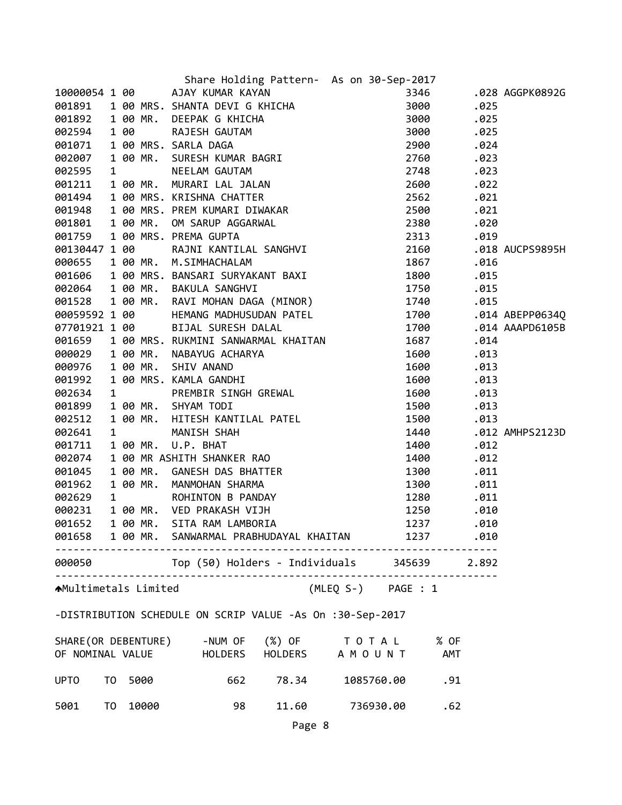|                              |    |      | Share Holding Pattern- As on 30-Sep-2017                                                                                                                                                                                                                                                 |                                                                                                                                                                                                                                 |      |                 |
|------------------------------|----|------|------------------------------------------------------------------------------------------------------------------------------------------------------------------------------------------------------------------------------------------------------------------------------------------|---------------------------------------------------------------------------------------------------------------------------------------------------------------------------------------------------------------------------------|------|-----------------|
|                              |    |      |                                                                                                                                                                                                                                                                                          |                                                                                                                                                                                                                                 |      | .028 AGGPK0892G |
|                              |    |      |                                                                                                                                                                                                                                                                                          |                                                                                                                                                                                                                                 | .025 |                 |
|                              |    |      |                                                                                                                                                                                                                                                                                          |                                                                                                                                                                                                                                 | .025 |                 |
|                              |    |      |                                                                                                                                                                                                                                                                                          |                                                                                                                                                                                                                                 | .025 |                 |
|                              |    |      |                                                                                                                                                                                                                                                                                          |                                                                                                                                                                                                                                 | .024 |                 |
|                              |    |      |                                                                                                                                                                                                                                                                                          |                                                                                                                                                                                                                                 | .023 |                 |
|                              |    |      |                                                                                                                                                                                                                                                                                          |                                                                                                                                                                                                                                 | .023 |                 |
|                              |    |      |                                                                                                                                                                                                                                                                                          |                                                                                                                                                                                                                                 | .022 |                 |
|                              |    |      | Share Holding Pattern- As on 30-Sep-2017<br>001891 100 AJNY KUMAR KAYAN<br>001891 100 MRS. SHANTA DEVIG KHICHA 3000<br>001892 100 MR. DEEPAK G KHICHA 3000<br>002594 100 RAJESH GAUTAM 3000<br>002594 100 RAJESH GAUTAM 3000<br>00207 100                                                |                                                                                                                                                                                                                                 | .021 |                 |
|                              |    |      |                                                                                                                                                                                                                                                                                          |                                                                                                                                                                                                                                 | .021 |                 |
|                              |    |      |                                                                                                                                                                                                                                                                                          |                                                                                                                                                                                                                                 | .020 |                 |
|                              |    |      |                                                                                                                                                                                                                                                                                          |                                                                                                                                                                                                                                 | .019 |                 |
|                              |    |      |                                                                                                                                                                                                                                                                                          |                                                                                                                                                                                                                                 |      | .018 AUCPS9895H |
|                              |    |      |                                                                                                                                                                                                                                                                                          |                                                                                                                                                                                                                                 | .016 |                 |
|                              |    |      |                                                                                                                                                                                                                                                                                          |                                                                                                                                                                                                                                 | .015 |                 |
|                              |    |      |                                                                                                                                                                                                                                                                                          |                                                                                                                                                                                                                                 | .015 |                 |
|                              |    |      |                                                                                                                                                                                                                                                                                          |                                                                                                                                                                                                                                 | .015 |                 |
| 00059592 1 00                |    |      | HEMANG MADHUSUDAN PATEL                                                                                                                                                                                                                                                                  | 1700                                                                                                                                                                                                                            |      | .014 ABEPP0634Q |
|                              |    |      |                                                                                                                                                                                                                                                                                          | 1700                                                                                                                                                                                                                            |      | .014 AAAPD6105B |
|                              |    |      |                                                                                                                                                                                                                                                                                          |                                                                                                                                                                                                                                 | .014 |                 |
|                              |    |      |                                                                                                                                                                                                                                                                                          |                                                                                                                                                                                                                                 | .013 |                 |
|                              |    |      |                                                                                                                                                                                                                                                                                          |                                                                                                                                                                                                                                 | .013 |                 |
|                              |    |      |                                                                                                                                                                                                                                                                                          |                                                                                                                                                                                                                                 | .013 |                 |
|                              |    |      |                                                                                                                                                                                                                                                                                          |                                                                                                                                                                                                                                 | .013 |                 |
|                              |    |      |                                                                                                                                                                                                                                                                                          | 1500                                                                                                                                                                                                                            | .013 |                 |
|                              |    |      |                                                                                                                                                                                                                                                                                          | 1500                                                                                                                                                                                                                            | .013 |                 |
|                              |    |      |                                                                                                                                                                                                                                                                                          | 1440                                                                                                                                                                                                                            |      | .012 AMHPS2123D |
|                              |    |      |                                                                                                                                                                                                                                                                                          |                                                                                                                                                                                                                                 | .012 |                 |
|                              |    |      |                                                                                                                                                                                                                                                                                          |                                                                                                                                                                                                                                 | .012 |                 |
|                              |    |      |                                                                                                                                                                                                                                                                                          |                                                                                                                                                                                                                                 | .011 |                 |
|                              |    |      |                                                                                                                                                                                                                                                                                          |                                                                                                                                                                                                                                 | .011 |                 |
|                              |    |      |                                                                                                                                                                                                                                                                                          |                                                                                                                                                                                                                                 | .011 |                 |
|                              |    |      |                                                                                                                                                                                                                                                                                          |                                                                                                                                                                                                                                 | .010 |                 |
|                              |    |      |                                                                                                                                                                                                                                                                                          |                                                                                                                                                                                                                                 | .010 |                 |
|                              |    |      | 00059592 1 00 MEMANG MADHUSUDAN PATEL 1700<br>07701921 1 00 BIJAL SURESH DALAL 1700<br>001659 1 00 MR. NAWAYUNI SANWARMAL KHAITAN 1687<br>000029 1 00 MR. NAWAYUNG ACHARYA 1600<br>000292 1 00 MR. NAWAYUNG ACHARYA 1600<br>001992 1 00<br>001658 1 00 MR. SANWARMAL PRABHUDAYAL KHAITAN | 1237 — 1237 — 1237 — 1237 — 1237 — 1237 — 1237 — 1237 — 1237 — 1237 — 1238 — 1238 — 1238 — 1238 — 1238 — 1238 — 1238 — 1238 — 1238 — 1238 — 1238 — 1238 — 1238 — 1238 — 1238 — 1238 — 1238 — 1238 — 1238 — 1238 — 1238 — 1238 — | .010 |                 |
|                              |    |      | 000050 Top (50) Holders - Individuals 345639 2.892                                                                                                                                                                                                                                       |                                                                                                                                                                                                                                 |      |                 |
| <b>A</b> Multimetals Limited |    |      | (MLEQ S-) PAGE : 1                                                                                                                                                                                                                                                                       |                                                                                                                                                                                                                                 |      |                 |
|                              |    |      | -DISTRIBUTION SCHEDULE ON SCRIP VALUE -As On :30-Sep-2017                                                                                                                                                                                                                                |                                                                                                                                                                                                                                 |      |                 |
|                              |    |      | SHARE (OR DEBENTURE) -NUM OF (%) OF TO TAL % OF<br>OF NOMINAL VALUE HOLDERS HOLDERS A M O U N T AMT                                                                                                                                                                                      |                                                                                                                                                                                                                                 |      |                 |
|                              |    |      |                                                                                                                                                                                                                                                                                          |                                                                                                                                                                                                                                 |      |                 |
| <b>UPTO</b>                  | T0 | 5000 | 78.34<br>662                                                                                                                                                                                                                                                                             | 1085760.00<br>.91                                                                                                                                                                                                               |      |                 |

Page 8

TO 10000 98 11.60 736930.00 .62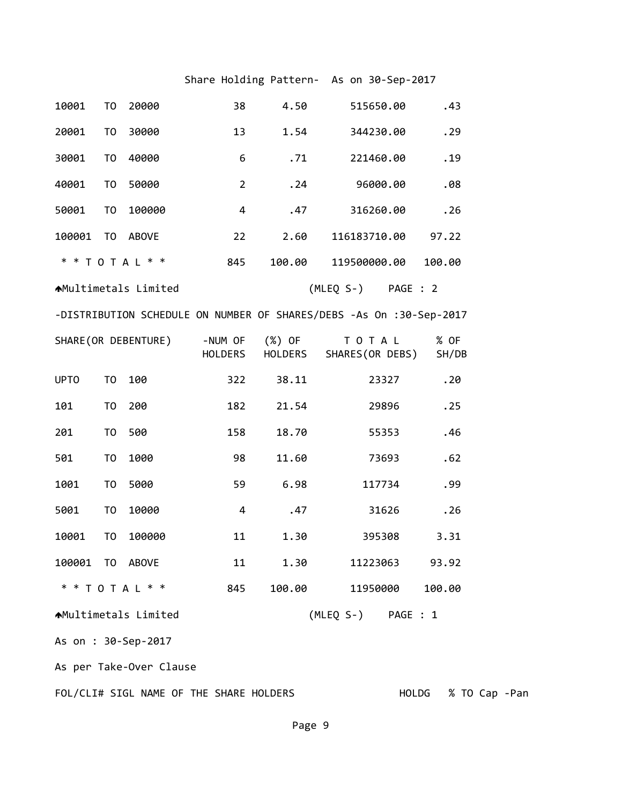## Share Holding Pattern- As on 30-Sep-2017

| 10001                   | T <sub>0</sub> | 20000                       | 38                        | 4.50   | 515650.00                                                           | .43           |  |  |
|-------------------------|----------------|-----------------------------|---------------------------|--------|---------------------------------------------------------------------|---------------|--|--|
| 20001                   | T <sub>0</sub> | 30000                       | 13                        | 1.54   | 344230.00                                                           | .29           |  |  |
| 30001                   | T <sub>0</sub> | 40000                       | 6                         | .71    | 221460.00                                                           | .19           |  |  |
| 40001                   | T <sub>0</sub> | 50000                       | $\overline{2}$            | .24    | 96000.00                                                            | .08           |  |  |
| 50001                   | T <sub>0</sub> | 100000                      | 4                         | .47    | 316260.00                                                           | .26           |  |  |
| 100001                  | TO             | ABOVE                       | 22                        | 2.60   | 116183710.00                                                        | 97.22         |  |  |
|                         |                | * * T O T A L * *           | 845                       | 100.00 | 119500000.00                                                        | 100.00        |  |  |
|                         |                | <b>AMultimetals Limited</b> |                           |        | (MLEQ S-) PAGE : 2                                                  |               |  |  |
|                         |                |                             |                           |        | -DISTRIBUTION SCHEDULE ON NUMBER OF SHARES/DEBS -As On :30-Sep-2017 |               |  |  |
|                         |                | SHARE (OR DEBENTURE)        | -NUM OF<br><b>HOLDERS</b> | (%) OF | TOTAL<br>HOLDERS SHARES(OR DEBS)                                    | % OF<br>SH/DB |  |  |
| <b>UPTO</b>             | T <sub>0</sub> | 100                         | 322                       | 38.11  | 23327                                                               | .20           |  |  |
| 101                     | T <sub>0</sub> | 200                         | 182                       | 21.54  | 29896                                                               | .25           |  |  |
| 201                     | T <sub>0</sub> | 500                         | 158                       | 18.70  | 55353                                                               | .46           |  |  |
| 501                     | T <sub>0</sub> | 1000                        | 98                        | 11.60  | 73693                                                               | .62           |  |  |
| 1001                    | T <sub>0</sub> | 5000                        | 59                        | 6.98   | 117734                                                              | .99           |  |  |
| 5001                    | T <sub>0</sub> | 10000                       | $\overline{a}$            | .47    | 31626                                                               | .26           |  |  |
| 10001                   | T <sub>0</sub> | 100000                      | 11                        | 1.30   | 395308                                                              | 3.31          |  |  |
| 100001 TO ABOVE         |                |                             | 11                        | 1.30   | 11223063                                                            | 93.92         |  |  |
|                         |                | * * T O T A L * *           | 845                       | 100.00 | 11950000                                                            | 100.00        |  |  |
|                         |                | ▲Multimetals Limited        |                           |        | (MLEQ S-) PAGE : 1                                                  |               |  |  |
|                         |                | As on : 30-Sep-2017         |                           |        |                                                                     |               |  |  |
| As per Take-Over Clause |                |                             |                           |        |                                                                     |               |  |  |

FOL/CLI# SIGL NAME OF THE SHARE HOLDERS HOLDG % TO Cap ‐Pan